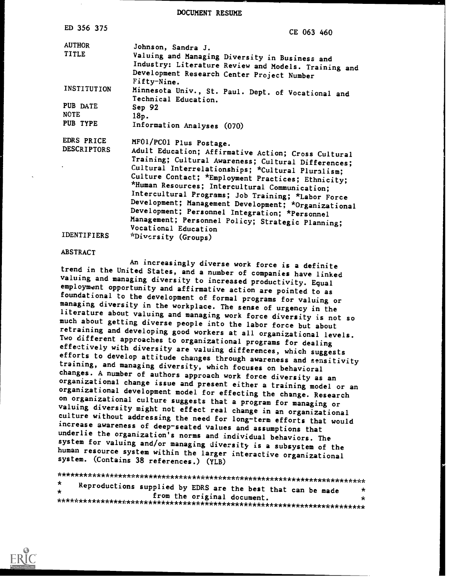DOCUMENT RESUME

| ED 356 375                                    | CE 063 460                                                                                                                                                                                                                                                                                                                                                                                                                                                                                                              |
|-----------------------------------------------|-------------------------------------------------------------------------------------------------------------------------------------------------------------------------------------------------------------------------------------------------------------------------------------------------------------------------------------------------------------------------------------------------------------------------------------------------------------------------------------------------------------------------|
| <b>AUTHOR</b><br><b>TITLE</b>                 | Johnson, Sandra J.<br>Valuing and Managing Diversity in Business and<br>Industry: Literature Review and Models. Training and<br>Development Research Center Project Number<br>Fifty-Nine.                                                                                                                                                                                                                                                                                                                               |
| INSTITUTION                                   | Minnesota Univ., St. Paul. Dept. of Vocational and<br>Technical Education.                                                                                                                                                                                                                                                                                                                                                                                                                                              |
| PUB DATE                                      | Sep 92                                                                                                                                                                                                                                                                                                                                                                                                                                                                                                                  |
| <b>NOTE</b>                                   | 18p.                                                                                                                                                                                                                                                                                                                                                                                                                                                                                                                    |
| PUB TYPE                                      | Information Analyses (070)                                                                                                                                                                                                                                                                                                                                                                                                                                                                                              |
| EDRS PRICE<br><b>DESCRIPTORS</b><br>$\bullet$ | MF01/PC01 Plus Postage.<br>Adult Education; Affirmative Action; Cross Cultural<br>Training; Cultural Awareness; Cultural Differences;<br>Cultural Interrelationships; *Cultural Pluralism;<br>Culture Contact; *Employment Practices; Ethnicity;<br>*Human Resources; Intercultural Communication;<br>Intercultural Programs; Job Training; *Labor Force<br>Development; Management Development; *Organizational<br>Development; Personnel Integration; *Personnel<br>Management; Personnel Policy; Strategic Planning; |
| <b>IDENTIFIERS</b>                            | Vocational Education<br><i>*Diversity</i> (Groups)                                                                                                                                                                                                                                                                                                                                                                                                                                                                      |

ABSTRACT An increasingly diverse work force is a definite trend in the United States, and a number of companies have linked<br>valuing and managing diversity to increased productivity. Equal<br>employment opportunity and affirmative action are pointed to as<br>foundational to the developm literature about valuing and managing work force diversity is not so<br>much about getting diverse people into the labor force but about<br>retraining and developing good workers at all organizational levels.<br>Two different appro efforts to develop attitude changes through awareness and sensitivity training, and managing diversity, which focuses on behavioral changes. A number of authors approach work force diversity as an organizational change issue and present either a training model or an organizational development model for effecting the change. Research<br>on organizational culture suggests that a program for managing or valuing diversity might not effect real change in an organizational<br>culture without addressing the need for long-term efforts that would<br>increase awareness of deep-seated values and assumptions that<br>underlie the organizati human resource system within the larger interactive organizational system. (Contains 38 references.) (YLB)

\*\*\*\*\*\*\*\*\*\*\*\*\*\*\*\*\*\*\*\*\*\*\*\*\*\*\*\*\*\*\*\*\*\*\*\*\*\*\*\*\*\*\*\*\*\*\*\*\*\*\*\*\*\*\*\*\*\*\*\*\*\*\*\*\*\*\*\*\*\*\* Reproductions supplied by EDRS are the best that can be made from the original document. \*\*\*\*\*\*\*\*\*\*\*\*\*\*\*\*\*\*\*\*\*\*\*\*\*\*\*\*\*\*\*\*\*\*\*\*\*\*\*\*\*\*\*\*\*\*\*\*\*\*\*\*\*\*\*\*\*\*\*\*\*\*\*\*\*\*\*\*\*\*\*

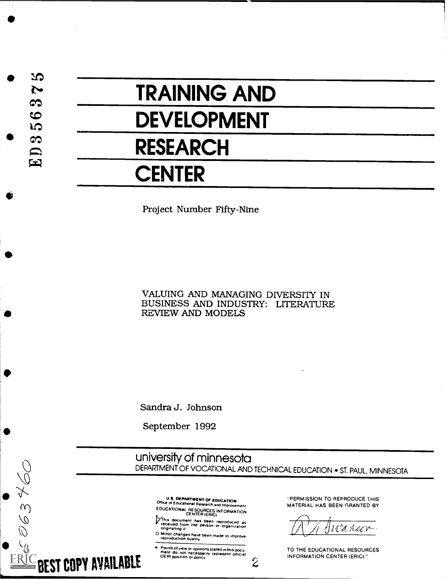2O  $\blacktriangleright$ က  $\bullet$ **LO** က ED<br>E

# TRAINING AND

## DEVELOPMENT

### RESEARCH

### **CENTER**

Project Number Fifty-Nine

#### VALUING AND MANAGING DIVERSITY IN BUSINESS AND INDUSTRY: LITERATURE REVIEW AND MODELS

Sandra J. Johnson

September 1992

university of minnesota DEPARTMENT OF VOCATIONAL AND TECHNICAL EDUCATION . ST. PAUL, MINNESOTA

U.S. DEPARTMENT Of EDUCATION Office of Educahonat Research and improvement EDUCATIONAL RESOURCES INFORMATION

/21 This document has been reproduced as received from the person or organization or organization

U Mmor changes have been made to improve reproduction civalitV

Points of view or opinions stated in this document do not necessarily represent official

**ERIC BEST COPY AVAILABLE** 

063460

"PERMISSION TO REPRODUCE THIS MATERIAL HAS BEEN GRANTED BY

HUA have

 $\mathbf{z}$  and  $\mathbf{z}$ TO THE EDUCATIONAL RESOURCES INFORMATION CENTER (ERICI."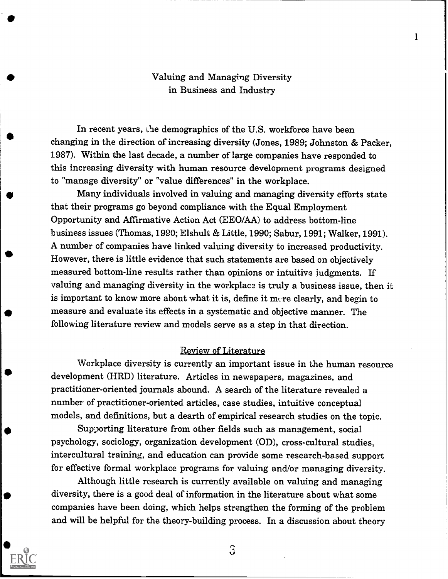### Valuing and Managing Diversity in Business and Industry

1

In recent years, the demographics of the U.S. workforce have been changing in the direction of increasing diversity (Jones, 1989; Johnston & Packer, 1987). Within the last decade, a number of large companies have responded to this increasing diversity with human resource development programs designed to "manage diversity" or "value differences" in the workplace.

Many individuals involved in valuing and managing diversity efforts state that their programs go beyond compliance with the Equal Employment Opportunity and Affirmative Action Act (EEO/AA) to address bottom-line business issues (Thomas, 1990; Elshult & Little, 1990; Sabur, 1991; Walker, 1991). A number of companies have linked valuing diversity to increased productivity. However, there is little evidence that such statements are based on objectively measured bottom-line results rather than opinions or intuitive judgments. If valuing and managing diversity in the workplace is truly a business issue, then it is important to know more about what it is, define it mere clearly, and begin to measure and evaluate its effects in a systematic and objective manner. The following literature review and models serve as a step in that direction.

#### Review of Literature

Workplace diversity is currently an important issue in the human resource development (HRD) literature. Articles in newspapers, magazines, and practitioner-oriented journals abound. A search of the literature revealed a number of practitioner-oriented articles, case studies, intuitive conceptual models, and definitions, but a dearth of empirical research studies on the topic.

Sup)orting literature from other fields such as management, social psychology, sociology, organization development (OD), cross-cultural studies, intercultural training, and education can provide some research-based support for effective formal workplace programs for valuing and/or managing diversity.

Although little research is currently available on valuing and managing diversity, there is a good deal of information in the literature about what some companies have been doing, which helps strengthen the forming of the problem and will be helpful for the theory-building process. In a discussion about theory



 $\Im$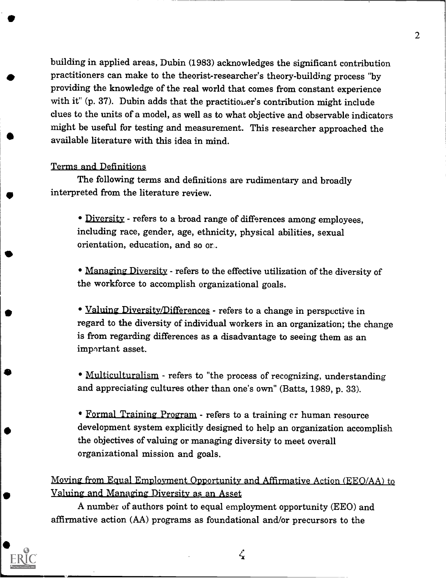building in applied areas, Dubin (1983) acknowledges the significant contribution practitioners can make to the theorist-researcher's theory-building process "by providing the knowledge of the real world that comes from constant experience with it" (p. 37). Dubin adds that the practitioner's contribution might include clues to the units of a model, as well as to what objective and observable indicators might be useful for testing and measurement. This researcher approached the available literature with this idea in mind.

#### Terms and Definitions,

The following terms and definitions are rudimentary and broadly interpreted from the literature review.

• Diversity - refers to a broad range of differences among employees, including race, gender, age, ethnicity, physical abilities, sexual orientation, education, and so or...

Managing Diversity - refers to the effective utilization of the diversity of the workforce to accomplish organizational goals.

• Valuing Diversity/Differences - refers to a change in perspective in regard to the diversity of individual workers in an organization; the change is from regarding differences as a disadvantage to seeing them as an important asset.

Multiculturalism - refers to "the process of recognizing, understanding and appreciating cultures other than one's own" (Batts, 1989, p. 33).

Formal Training Program - refers to a training cr human resource development system explicitly designed to help an organization accomplish the objectives of valuing or managing diversity to meet overall organizational mission and goals.

<u>Moving from Equal Employment Opportunity and Affirmative Action (EEO/AA) to</u> <u>Valuing and Managing Diversity as an Asset</u>

A number of authors point to equal employment opportunity (EEO) and affirmative action (AA) programs as foundational and/or precursors to the



 $\zeta$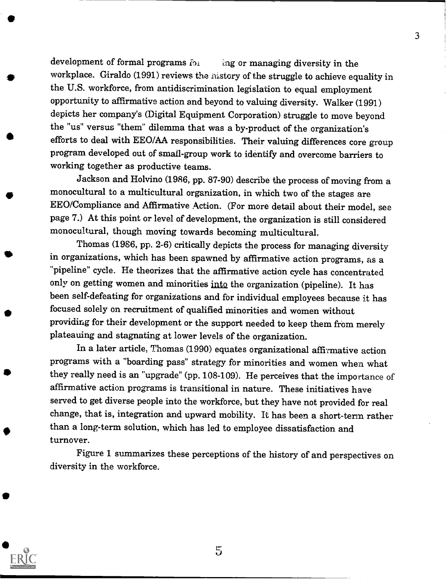development of formal programs  $f_{11}$  ing or managing diversity in the workplace. Giraldo (1991) reviews the nistory of the struggle to achieve equality in the U.S. workforce, from antidiscrimination legislation to equal employment opportunity to affirmative action and beyond to valuing diversity. Walker (1991) depicts her company's (Digital Equipment Corporation) struggle to move beyond the "us" versus "them" dilemma that was a by-product of the organization's efforts to deal with EEO/AA responsibilities. Their valuing differences core group program developed out of small -group work to identify and overcome barriers to working together as productive teams.

Jackson and Holvino (1986, pp. 87-90) describe the process of moving from a monocultural to a multicultural organization, in which two of the stages are EEO/Compliance and Affirmative Action. (For more detail about their model, see page 7.) At this point or level of development, the organization is still considered monocultural, though moving towards becoming multicultural.

Thomas (1986, pp. 2-6) critically depicts the process for managing diversity in organizations, which has been spawned by affirmative action programs, as a "pipeline" cycle. He theorizes that the affirmative action cycle has concentrated only on getting women and minorities into the organization (pipeline). It has been self-defeating for organizations and for individual employees because it has focused solely on recruitment of qualified minorities and women without providing for their development or the support needed to keep them from merely plateauing and stagnating at lower levels of the organization.

In a later article, Thomas (1990) equates organizational affirmative action programs with a "boarding pass" strategy for minorities and women when what they really need is an "upgrade" (pp. 108-109). He perceives that the importance of affirmative action programs is transitional in nature. These initiatives have served to get diverse people into the workforce, but they have not provided for real change, that is, integration and upward mobility. It has been a short-term rather than a long-term solution, which has led to employee dissatisfaction and turnover.

Figure 1 summarizes these perceptions of the history of and perspectives on diversity in the workforce.



5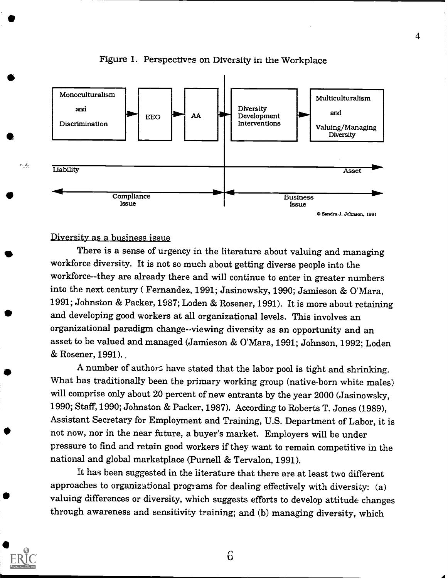

#### Figure 1. Perspectives on Diversity in the Workplace

#### Diversity as a business issue

ويجوز والمنا

There is a sense of urgency in the literature about valuing and managing workforce diversity. It is not so much about getting diverse people into the workforce--they are already there and will continue to enter in greater numbers into the next century ( Fernandez, 1991; Jasinowsky, 1990; Jamieson & O'Mara, 1.991; Johnston & Packer, 1987; Loden & Rosener, 1991). It is more about retaining and developing good workers at all organizational levels. This involves an organizational paradigm change--viewing diversity as an opportunity and an asset to be valued and managed (Jamieson & O'Mara, 1991; Johnson, 1992; Loden & Rosener, 1991). .

A number of authors have stated that the labor pool is tight and shrinking. What has traditionally been the primary working group (native-born white males) will comprise only about 20 percent of new entrants by the year 2000 (Jasinowsky, 1990; Staff, 1990; Johnston & Packer, 1987). According to Roberts T. Jones (1989), Assistant Secretary for Employment and Training, U.S. Department of Labor, it is not now, nor in the near future, a buyer's market. Employers will be under pressure to find and retain good workers if they want to remain competitive in the national and global marketplace (Purnell & Tervalon, 1991).

It has been suggested in the literature that there are at least two different approaches to organizational programs for dealing effectively with diversity: (a) valuing differences or diversity, which suggests efforts to develop attitude changes through awareness and sensitivity training; and (b) managing diversity, which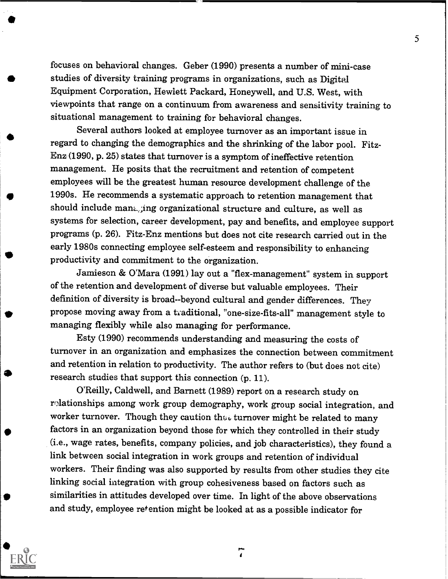focuses on behavioral changes. Geber (1990) presents a number of mini-case studies of diversity training programs in organizations, such as Digital Equipment Corporation, Hewlett Packard, Honeywell, and U.S. West, with viewpoints that range on a continuum from awareness and sensitivity training to situational management to training for behavioral changes.

Several authors looked at employee turnover as an important issue in regard to changing the demographics and the shrinking of the labor pool. Fitz-Enz (1990, p. 25) states that turnover is a symptom of ineffective retention management. He posits that the recruitment and retention of competent employees will be the greatest human resource development challenge of the 1990s. He recommends a systematic approach to retention management that should include mant, ing organizational structure and culture, as well as systems for selection, career development, pay and benefits, and employee support programs (p. 26). Fitz-Enz mentions but does not cite research carried out in the early 1980s connecting employee self-esteem and responsibility to enhancing productivity and commitment to the organization.

Jamieson & O'Mara (1991) lay out a "flex-management" system in support of the retention and development of diverse but valuable employees. Their definition of diversity is broad--beyond cultural and gender differences. They propose moving away from a traditional, "one-size-fits-all" management style to managing flexibly while also managing for performance.

Esty (1990) recommends understanding and measuring the costs of turnover in an organization and emphasizes the connection between commitment and retention in relation to productivity. The author refers to (but does not cite) research studies that support this connection (p. 11).

O'Reilly, Caldwell, and Barnett (1989) report on a research study on relationships among work group demography, work group social integration, and worker turnover. Though they caution they turnover might be related to many factors in an organization beyond those for which they controlled in their study (i.e., wage rates, benefits, company policies, and job characteristics), they found a link between social integration in work groups and retention of individual workers. Their finding was also supported by results from other studies they cite linking social integration with group cohesiveness based on factors such as similarities in attitudes developed over time. In light of the above observations and study, employee retention might be looked at as a possible indicator for

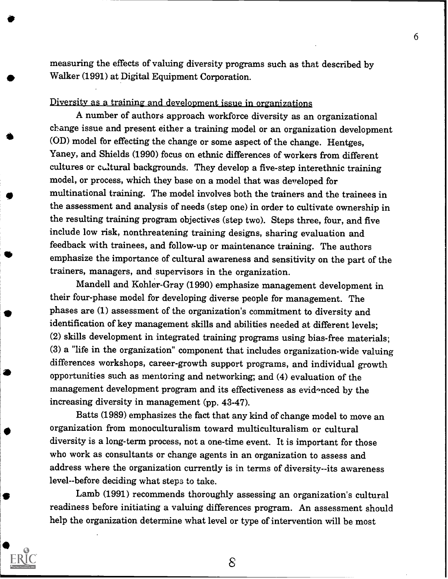measuring the effects of valuing diversity programs such as that described by Walker (1991) at Digital Equipment Corporation.

#### Diversity as a training and development issue in organizations

(OD) model for effecting the change or some aspect of the change. Hentges, A number of authors approach workforce diversity as an organizational change issue and present either a training model or an organization development Yaney, and Shields (1990) focus on ethnic differences of workers from different cultures or cultural backgrounds. They develop a five-step interethnic training model, or process, which they base on a model that was developed for multinational training. The model involves both the trainers and the trainees in the assessment and analysis of needs (step one) in order to cultivate ownership in the resulting training program objectives (step two). Steps three, four, and five include low risk, nonthreatening training designs, sharing evaluation and feedback with trainees, and follow-up or maintenance training. The authors emphasize the importance of cultural awareness and sensitivity on the part of the trainers, managers, and supervisors in the organization.

> Mandell and Kohler-Gray (1990) emphasize management development in their four-phase model for developing diverse people for management. The phases are (1) assessment of the organization's commitment to diversity and identification of key management skills and abilities needed at different levels; (2) skills development in integrated training programs using bias-free materials; (3) a "life in the organization" component that includes organization-wide valuing differences workshops, career-growth support programs, and individual growth opportunities such as mentoring and networking; and (4) evaluation of the management development program and its effectiveness as evidenced by the increasing diversity in management (pp. 43-47).

Batts (1989) emphasizes the fact that any kind of change model to move an organization from monoculturalism toward multiculturalism or cultural diversity is a long-term process, not a one-time event. It is important for those who work as consultants or change agents in an organization to assess and address where the organization currently is in terms of diversity--its awareness level--before deciding what steps to take.

Lamb (1991) recommends thoroughly assessing an organization's cultural readiness before initiating a valuing differences program. An assessment should help the organization determine what level or type of intervention will be most



 $8^{\circ}$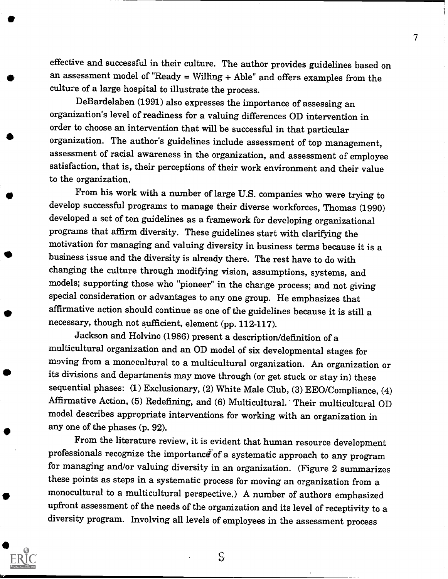effective and successful in their culture. The author provides guidelines based on an assessment model of "Ready  $=$  Willing  $+$  Able" and offers examples from the culture of a large hospital to illustrate the process.

7 - Jan 19

DeBardelaben (1991) also expresses the importance of assessing an organization's level of readiness for a valuing differences OD intervention in order to choose an intervention that will be successful in that particular organization. The author's guidelines include assessment of top management, assessment of racial awareness in the organization, and assessment of employee satisfaction, that is, their perceptions of their work environment and their value to the organization.

From his work with a number of large U.S. companies who were trying to develop successful programs to manage their diverse workforces, Thomas (1990) developed a set of ten guidelines as a framework for developing organizational programs that affirm diversity. These guidelines start with clarifying the motivation for managing and valuing diversity in business terms because it is a business issue and the diversity is already there. The rest have to do with changing the culture through modifying vision, assumptions, systems, and models; supporting those who "pioneer" in the change process; and not giving special consideration or advantages to any one group. He emphasizes that affirmative action should continue as one of the guidelines because it is still a necessary, though not sufficient, element (pp. 112-117).

Jackson and Holvino (1986) present a description/definition of a multicultural organization and an OD model of six developmental stages for moving from a monocultural to a multicultural organization. An organization or its divisions and departments may move through (or get stuck or stay in) these sequential phases: (1) Exclusionary, (2) White Male Club, (3) EEO/Compliance, (4) Affirmative Action, (5) Redefining, and (6) Multicultural. Their multicultural OD model describes appropriate interventions for working with an organization in any one of the phases (p. 92).

From the literature review, it is evident that human resource development professionals recognize the importance of a systematic approach to any program for managing and/or valuing diversity in an organization. (Figure 2 summarizes these points as steps in a systematic process for moving an organization from a monocultural to a multicultural perspective.) A number of authors emphasized upfront assessment of the needs of the organization and its level of receptivity to a diversity program. Involving all levels of employees in the assessment process



 $\mathbf{S}$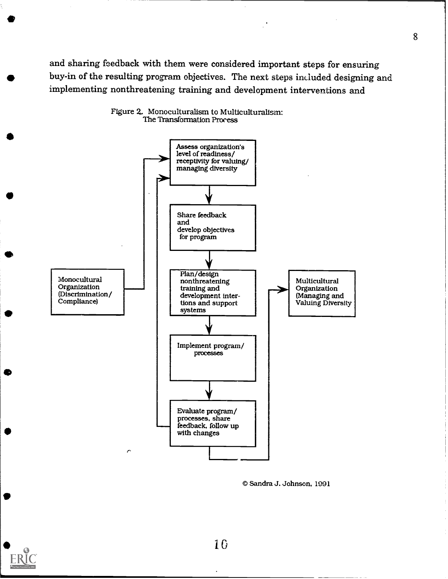and sharing feedback with them were considered important steps for ensuring buy-in of the resulting program objectives. The next steps included designing and implementing nonthreatening training and development interventions and



Figure 2. Monoculturalism to Multiculturalism: The Transformation Process

© Sandra J. Johnson. 1991

10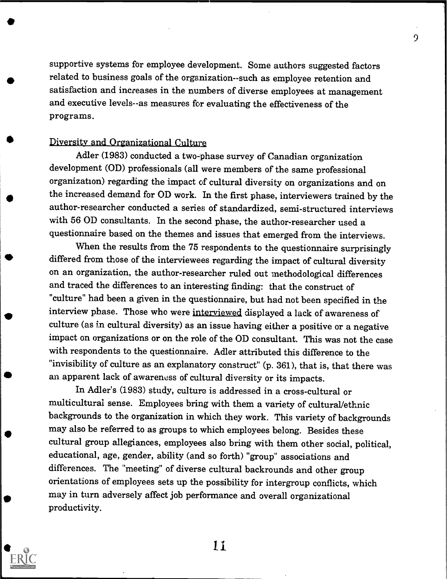supportive systems for employee development. Some authors suggested factors related to business goals of the organization- -such as employee retention and satisfaction and increases in the numbers of diverse employees at management and executive levels--as measures for evaluating the effectiveness of the programs.

9

#### Diversity and Organizational Culture

Adler (1983) conducted a two-phase survey of Canadian organization development (OD) professionals (all were members of the same professional organization) regarding the impact of cultural diversity on organizations and on the increased demand for OD work. In the first phase, interviewers trained by the author-researcher conducted a series of standardized, semi-structured interviews with 56 OD consultants. In the second phase, the author-researcher used a questionnaire based on the themes and issues that emerged from the interviews.

When the results from the 75 respondents to the questionnaire surprisingly differed from those of the interviewees regarding the impact of cultural diversity on an organization, the author-researcher ruled out methodological differences and traced the differences to an interesting finding: that the construct of "culture" had been a given in the questionnaire, but had not been specified in the interview phase. Those who were interviewed displayed a lack of awareness of culture (as in cultural diversity) as an issue having either a positive or a negative impact on organizations or on the role of the OD consultant. This was not the case with respondents to the questionnaire. Adler attributed this difference to the "invisibility of culture as an explanatory construct" (p. 361), that is, that there was an apparent lack of awareness of cultural diversity or its impacts.

In Adler's (1983) study, culture is addressed in a cross-cultural or multicultural sense. Employees bring with them a variety of cultural/ethnic backgrounds to the organization in which they work. This variety of backgrounds may also be referred to as groups to which employees belong. Besides these cultural group allegiances, employees also bring with them other social, political, educational, age, gender, ability (and so forth) "group" associations and differences. The "meeting" of diverse cultural backrounds and other group orientations of employees sets up the possibility for intergroup conflicts, which may in turn adversely affect job performance and overall organizational productivity.

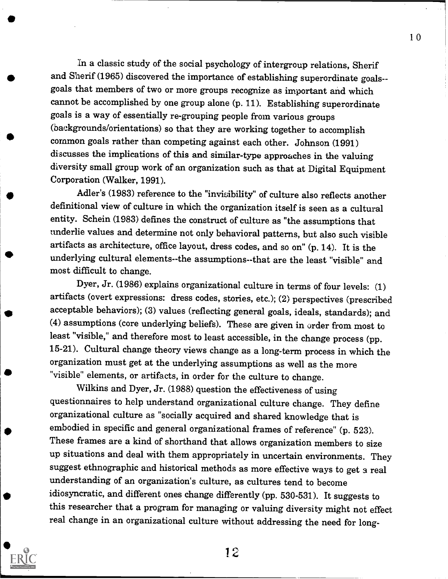In a classic study of the social psychology of intergroup relations, Sherif and Sherif (1965) discovered the importance of establishing superordinate goals- goals that members of two or more groups recognize as important and which cannot be accomplished by one group alone (p. 11). Establishing superordinate goals is a way of essentially re-grouping people from various groups (backgrounds/orientations) so that they are working together to accomplish common goals rather than competing against each other. Johnson (1991) discusses the implications of this and similar-type approaches in the valuing diversity small group work of an organization such as that at Digital Equipment Corporation (Walker, 1991).

Adler's (1983) reference to the "invisibility" of culture also reflects another definitional view of culture in which the organization itself is seen as a cultural entity. Schein (1983) defines the construct of culture as "the assumptions that underlie values and determine not only behavioral patterns, but also such visible artifacts as architecture, office layout, dress codes, and so on" (p. 14). It is the underlying cultural elements--the assumptions--that are the least "visible" and most difficult to change.

Dyer, Jr. (1986) explains organizational culture in terms of four levels: (1) artifacts (overt expressions: dress codes, stories, etc.); (2) perspectives (prescribed acceptable behaviors); (3) values (reflecting general goals, ideals, standards); and (4) assumptions (core underlying beliefs). These are given in order from most to least "visible," and therefore most to least accessible, in the change process (pp. 15-21). Cultural change theory views change as a long-term process in which the organization must get at the underlying assumptions as well as the more "visible" elements, or artifacts, in order for the culture to change.

Wilkins and Dyer, Jr. (1988) question the effectiveness of using questionnaires to help understand organizational culture change. They define organizational culture as "socially acquired and shared knowledge that is embodied in specific and general organizational frames of reference" (p. 523). These frames are a kind of shorthand that allows organization members to size up situations and deal with them appropriately in uncertain environments. They suggest ethnographic and historical methods as more effective ways to get a real understanding of an organization's culture, as cultures tend to become idiosyncratic, and different ones change differently (pp. 530-531). It suggests to this researcher that a program for managing or valuing diversity might not effect real change in an organizational culture without addressing the need for long-



12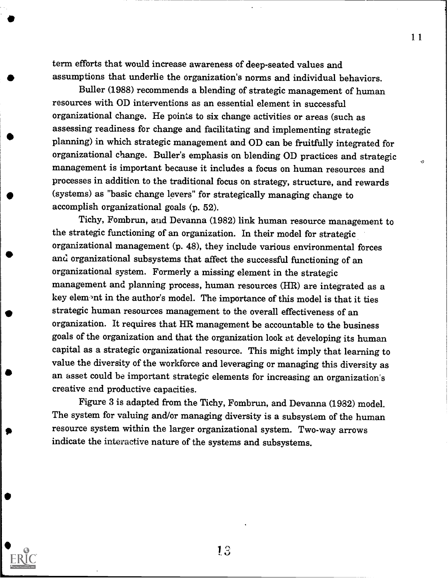term efforts that would increase awareness of deep-seated values and assumptions that underlie the organization's norms and individual behaviors. 11

Buller (1988) recommends a blending of strategic management of human resources with OD interventions as an essential element in successful organizational change. He points to six change activities or areas (such as assessing readiness for change and facilitating and implementing strategic planning) in which strategic management and OD can be fruitfully integrated for organizational change. Buller's emphasis on blending OD practices and strategic management is important because it includes a focus on human resources and processes in addition to the traditional focus on strategy, structure, and rewards (systems) as "basic change levers" for strategically managing change to accomplish organizational goals (p. 52).

Tichy, Fombrun, and Devanna (1982) link human resource management to the strategic functioning of an organization. In their model for strategic organizational management (p. 48), they include various environmental forces and organizational subsystems that affect the successful functioning of an organizational system. Formerly a missing element in the strategic management and planning process, human resources (HR) are integrated as a key element in the author's model. The importance of this model is that it ties strategic human resources management to the overall effectiveness of an organization. It requires that HR management be accountable to the business goals of the organization and that the organization look at developing its human capital as a strategic organizational resource. This might imply that learning to value the diversity of the workforce and leveraging or managing this diversity as an asset could be important strategic elements for increasing an organization's creative and productive capacities.

presource system within the larger organizational system. Two-way arrows Figure 3 is adapted from the Tichy, Fombrun, and Devanna (1982) model. The system for valuing and/or managing diversity is a subsystem of the human indicate the interactive nature of the systems and subsystems.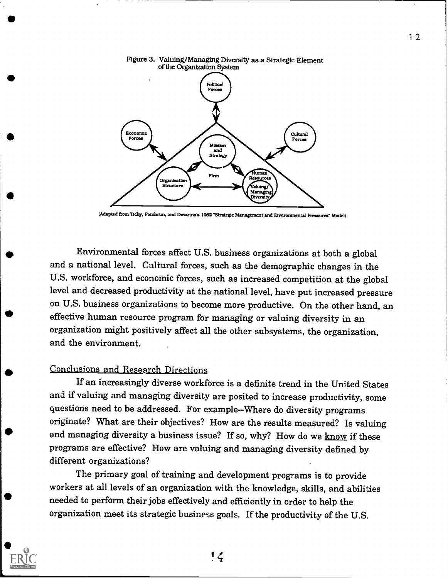



(Adapted from itchy, Fornbrun. and Devannies 1982 "Strategic Management and Environmental Pressures" Model)

41I Environmental forces affect U.S. business organizations at both a global and a national level. Cultural forces, such as the demographic changes in the U.S. workforce, and economic forces, such as increased competition at the global level and decreased productivity at the national level, have put increased pressure on U.S. business organizations to become more productive. On the other hand, an effective human resource program for managing or valuing diversity in an organization might positively affect all the other subsystems, the organization, and the environment.

#### Conclusions and Research Directions

If an increasingly diverse workforce is a definite trend in the United States and if valuing and managing diversity are posited to increase productivity, some questions need to be addressed. For example--Where do diversity programs originate? What are their objectives? How are the results measured? Is valuing and managing diversity a business issue? If so, why? How do we know if these programs are effective? How are valuing and managing diversity defined by different organizations?

The primary goal of training and development programs is to provide workers at all levels of an organization with the knowledge, skills, and abilities needed to perform their jobs effectively and efficiently in order to help the organization meet its strategic business goals. If the productivity of the U.S.

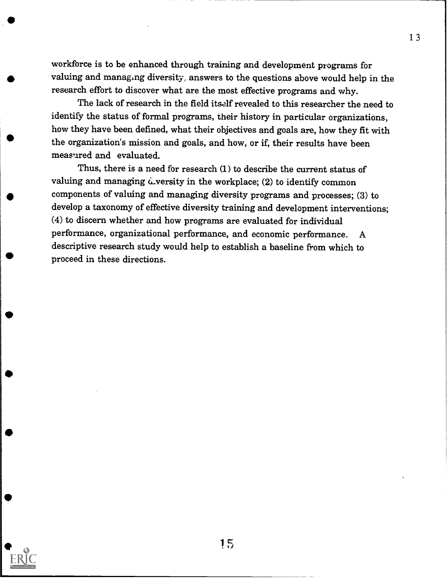workforce is to be enhanced through training and development programs for valuing and managing diversity, answers to the questions above would help in the research effort to discover what are the most effective programs and why.

The lack of research in the field itself revealed to this researcher the need to identify the status of formal programs, their history in particular organizations, how they have been defined, what their objectives and goals are, how they fit with the organization's mission and goals, and how, or if, their results have been measured and evaluated.

Thus, there is a need for research (1) to describe the current status of valuing and managing  $\acute{\omega}$ versity in the workplace; (2) to identify common components of valuing and managing diversity programs and processes; (3) to develop a taxonomy of effective diversity training and development interventions; (4) to discern whether and how programs are evaluated for individual performance, organizational performance, and economic performance. A descriptive research study would help to establish a baseline from which to proceed in these directions.



15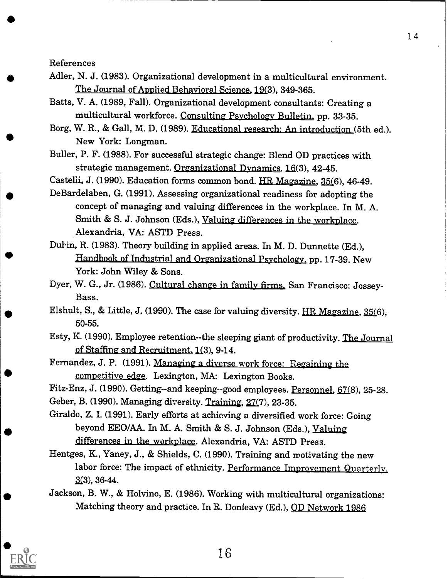References

- Adler, N. J. (1983). Organizational development in a multicultural environment. The Journal of Applied Behavioral Science, 19(3), 349-365.
- Batts, V. A. (1989, Fall). Organizational development consultants: Creating a multicultural workforce. Consulting Psychology Bulletin, pp. 33-35.
- Borg, W. R., & Gall, M. D. (1989). Educational research: An introduction (5th ed.). New York: Longman.
- Buller, P. F. (1988). For successful strategic change: Blend OD practices with strategic management. Organizational Dynamics, 16(3), 42-45.
- Castelli, J. (1990). Education forms common bond. HR Magazine, 35(6), 46-49.
- DeBardelaben, G. (1991). Assessing organizational readiness for adopting the concept of managing and valuing differences in the workplace. In M. A. Smith & S. J. Johnson (Eds.), Valuing differences in the workplace. Alexandria, VA: ASTD Press.
- Dubin, R. (1983). Theory building in applied areas. In M. D. Dunnette (Ed.), Fandbook of Industrial and Organizational Psycholoey, pp. 17-39. New York: John Wiley & Sons.
- Dyer, W. G., Jr. (1986). Cultural change in family firms. San Francisco: Jossey-Bass.
- Elshult, S., & Little, J. (1990). The case for valuing diversity.  $HR$  Magazine, 35(6), 50-55.
- Esty, K. (1990). Employee retention--the sleeping giant of productivity. The Journal of Staffing and Recruitment, 1(3), 9-14.
- Fernandez, J. P. (1991). Managing a diverse work force: Regaining the competitive edge. Lexington, MA: Lexington Books.
- Fitz-Enz, J. (1990). Getting--and keeping--good employees. Personnel, 67(8), 25-28.
- Geber, B. (1990). Managing diversity. Training, 27(7), 23-35.
- Giraldo, Z. I. (1991). Early efforts at achieving a diversified work force: Going beyond EEO/AA. In M. A. Smith & S. J. Johnson (Eds.), Valuing differences in the workplace. Alexandria, VA: ASTD Press.
- Hentges, K., Yaney, J., & Shields, C. (1990). Training and motivating the new labor force: The impact of ethnicity. Performance Improvement Quarterly,  $3(3)$ , 36-44.
- Jackson, B. W., & Holvino, E. (1986). Working with multicultural organizations: Matching theory and practice. In R. Donleavy (Ed.), OD Network 1986

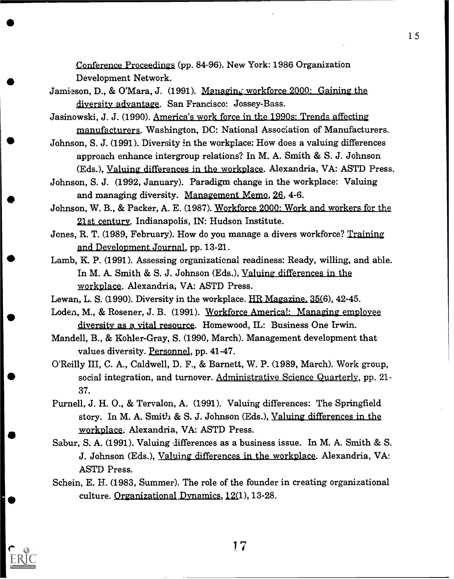Conference Proceedings (pp. 84-96). New York: 1986 Organization Development Network.

- Jamieson, D., & O'Mara, J. (1991). Managing workforce 2000: Gaining the diversity advantage. San Francisco: Jossey-Bass.
- Jasinowski, J. J. (1990). America's work force in the 1990s: Trends affecting manufacturers. Washington, DC: National Association of Manufacturers.
- Johnson, S. J. (1991). Diversity in the workplace: How does a valuing differences approach enhance intergroup relations? In M. A. Smith & S. J. Johnson (Eds.), Valuing differences in the workplace. Alexandria, VA: ASTD Press.
- Johnson, S. J. (1992, January). Paradigm change in the workplace: Valuing and managing diversity. Management Memo, 26, 4-6.
- Johnson, W. B., & Packer, A. E. (1987). Workforce 2000: Work and workers for the 21st century. Indianapolis, IN: Hudson Institute.
- Jones, R. T. (1989, February). How do you manage a divers workforce? Training and Development Journal, pp. 13-21.
- Lamb, K. P. (1991). Assessing organizational readiness: Ready, willing, and able. In M. A. Smith & S. J. Johnson (Eds.), Valuing differences in the workplace. Alexandria, VA: ASTD Press.
- Lewan, L. S. (1990). Diversity in the workplace.  $HR$  Magazine,  $35(6)$ ,  $42-45$ .
- Loden, M., & Rosener, J. B. (1991). Workforce America!: Managing employee diversity as a vital resource. Homewood, IL: Business One Irwin.
- Mandell, B., & Kohler-Gray, S. (1990, March). Management development that values diversity. Personnel, pp. 41-47.
- O'Reilly III, C. A., Caldwell, D. F., & Barnett, W. P. (1989, March). Work group, social integration, and turnover. Administrative Science Quarterly, pp. 21- 37.
- Purnell, J. H. 0., & Tervalon, A. (1991). Valuing differences: The Springfield story. In M. A. Smith & S. J. Johnson (Eds.), Valuing differences in the workplace. Alexandria, VA: ASTD Press.
- Sabur, S. A. (1991). Valuing differences as a business issue. In M. A. Smith & S. J. Johnson (Eds.), Valuing differences in the workplace. Alexandria, VA: ASTD Press.
- Schein, E. H. (1983, Summer). The role of the founder in creating organizational culture. Organizational Dynamics,  $12(1)$ , 13-28.



1 7